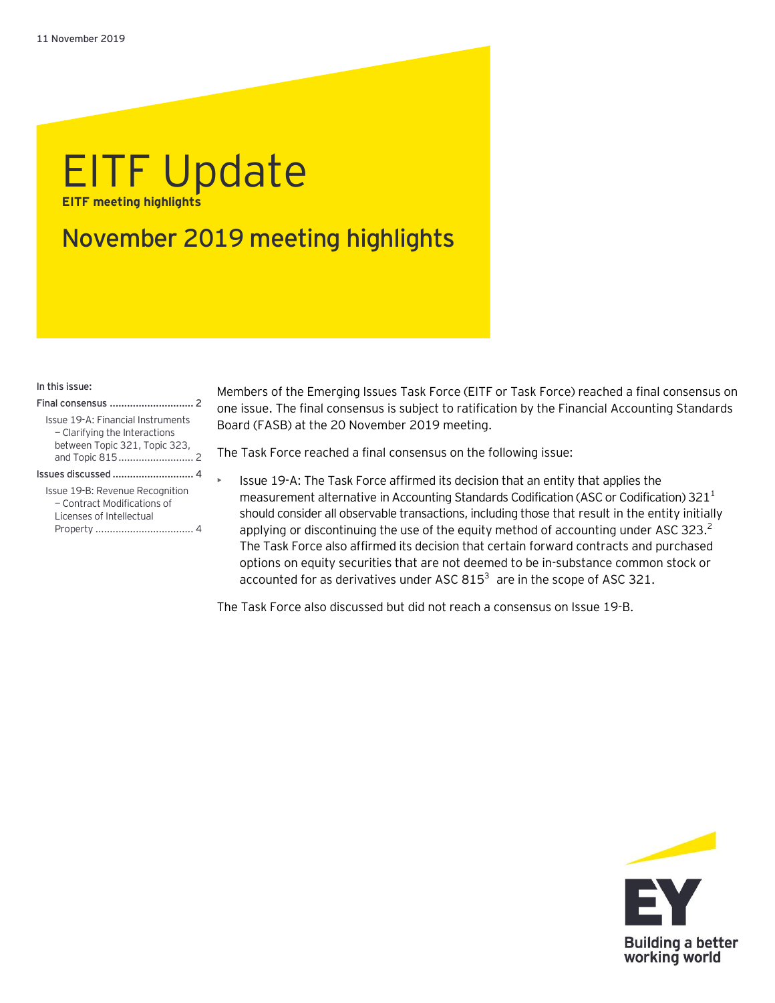# EITF Update **EITF meeting highlights**

# November 2019 meeting highlights

#### In this issue:

| Final consensus                                                                                            |
|------------------------------------------------------------------------------------------------------------|
| <b>Issue 19-A: Financial Instruments</b><br>- Clarifying the Interactions<br>between Topic 321, Topic 323, |
| Issues discussed  4                                                                                        |
| Issue 19-B: Revenue Recognition<br>$-$ Contract Modifications of<br>Licenses of Intellectual               |

Members of the Emerging Issues Task Force (EITF or Task Force) reached a final consensus on one issue. The final consensus is subject to ratification by the Financial Accounting Standards Board (FASB) at the 20 November 2019 meeting.

The Task Force reached a final consensus on the following issue:

Issue 19-A: The Task Force affirmed its decision that an entity that applies the measurement alternative in Accounting Standards Codification (ASC or Codification)  $321<sup>1</sup>$ should consider all observable transactions, including those that result in the entity initially applying or discontinuing the use of the equity method of accounting under ASC 323.<sup>2</sup> The Task Force also affirmed its decision that certain forward contracts and purchased options on equity securities that are not deemed to be in-substance common stock or accounted for as derivatives under ASC  $815^3$  are in the scope of ASC 321.

The Task Force also discussed but did not reach a consensus on Issue 19-B.

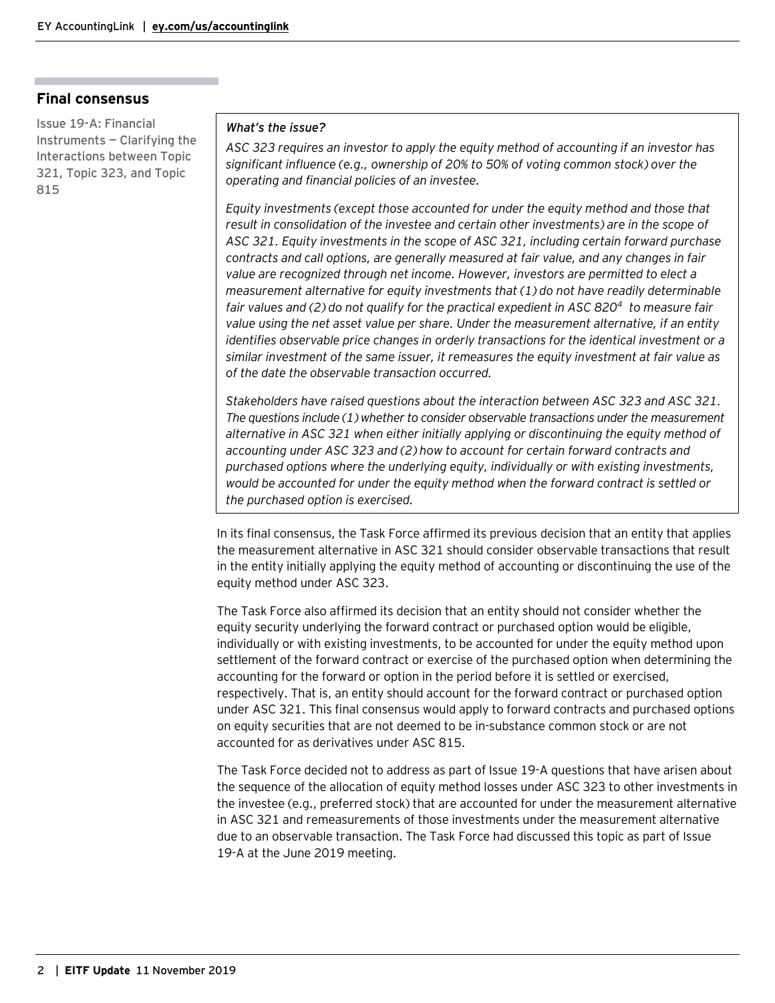## <span id="page-1-0"></span>**Final consensus**

<span id="page-1-1"></span>Issue 19-A: Financial Instruments — Clarifying the Interactions between Topic 321, Topic 323, and Topic 815

#### *What's the issue?*

*ASC 323 requires an investor to apply the equity method of accounting if an investor has significant influence (e.g., ownership of 20% to 50% of voting common stock) over the operating and financial policies of an investee.*

*Equity investments (except those accounted for under the equity method and those that result in consolidation of the investee and certain other investments) are in the scope of ASC 321. Equity investments in the scope of ASC 321, including certain forward purchase contracts and call options, are generally measured at fair value, and any changes in fair value are recognized through net income. However, investors are permitted to elect a measurement alternative for equity investments that (1) do not have readily determinable fair values and (2) do not qualify for the practical expedient in ASC 820<sup>4</sup> to measure fair value using the net asset value per share. Under the measurement alternative, if an entity identifies observable price changes i[n orderly transactions](https://live.atlas.ey.com/#document/491453/pid83533900-491453?pref=20011/9/147&crumb=6/834653) for the identical investment or a similar investment of the same issuer, it remeasures the equity investment at fair value as of the date the observable transaction occurred.*

*Stakeholders have raised questions about the interaction between ASC 323 and ASC 321. The questions include (1) whether to consider observable transactions under the measurement alternative in ASC 321 when either initially applying or discontinuing the equity method of accounting under ASC 323 and (2) how to account for certain forward contracts and purchased options where the underlying equity, individually or with existing investments, would be accounted for under the equity method when the forward contract is settled or the purchased option is exercised.*

In its final consensus, the Task Force affirmed its previous decision that an entity that applies the measurement alternative in ASC 321 should consider observable transactions that result in the entity initially applying the equity method of accounting or discontinuing the use of the equity method under ASC 323.

The Task Force also affirmed its decision that an entity should not consider whether the equity security underlying the forward contract or purchased option would be eligible, individually or with existing investments, to be accounted for under the equity method upon settlement of the forward contract or exercise of the purchased option when determining the accounting for the forward or option in the period before it is settled or exercised, respectively. That is, an entity should account for the forward contract or purchased option under ASC 321. This final consensus would apply to forward contracts and purchased options on equity securities that are not deemed to be in-substance common stock or are not accounted for as derivatives under ASC 815.

The Task Force decided not to address as part of Issue 19-A questions that have arisen about the sequence of the allocation of equity method losses under ASC 323 to other investments in the investee (e.g., preferred stock) that are accounted for under the measurement alternative in ASC 321 and remeasurements of those investments under the measurement alternative due to an observable transaction. The Task Force had discussed this topic as part of Issue 19-A at the June 2019 meeting.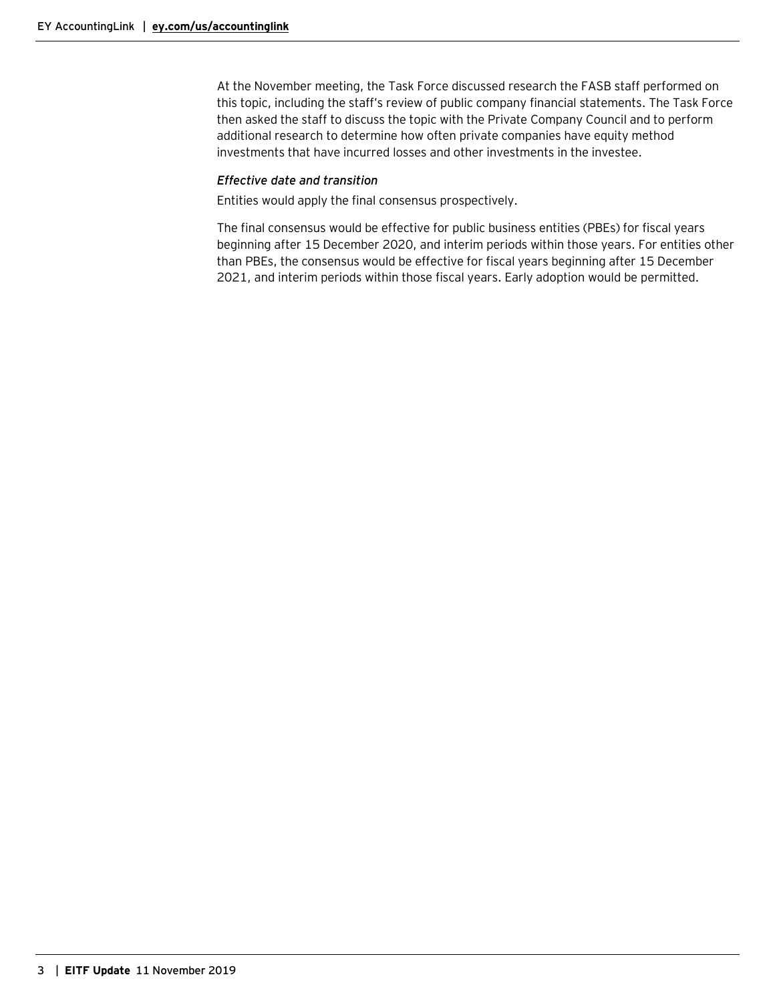At the November meeting, the Task Force discussed research the FASB staff performed on this topic, including the staff's review of public company financial statements. The Task Force then asked the staff to discuss the topic with the Private Company Council and to perform additional research to determine how often private companies have equity method investments that have incurred losses and other investments in the investee.

#### *Effective date and transition*

Entities would apply the final consensus prospectively.

The final consensus would be effective for public business entities (PBEs) for fiscal years beginning after 15 December 2020, and interim periods within those years. For entities other than PBEs, the consensus would be effective for fiscal years beginning after 15 December 2021, and interim periods within those fiscal years. Early adoption would be permitted.